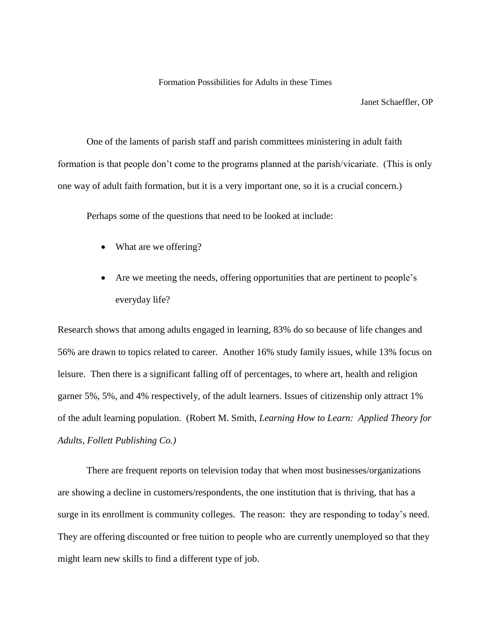## Formation Possibilities for Adults in these Times

Janet Schaeffler, OP

One of the laments of parish staff and parish committees ministering in adult faith formation is that people don't come to the programs planned at the parish/vicariate. (This is only one way of adult faith formation, but it is a very important one, so it is a crucial concern.)

Perhaps some of the questions that need to be looked at include:

- What are we offering?
- Are we meeting the needs, offering opportunities that are pertinent to people's everyday life?

Research shows that among adults engaged in learning, 83% do so because of life changes and 56% are drawn to topics related to career. Another 16% study family issues, while 13% focus on leisure. Then there is a significant falling off of percentages, to where art, health and religion garner 5%, 5%, and 4% respectively, of the adult learners. Issues of citizenship only attract 1% of the adult learning population. (Robert M. Smith, *Learning How to Learn: Applied Theory for Adults, Follett Publishing Co.)*

There are frequent reports on television today that when most businesses/organizations are showing a decline in customers/respondents, the one institution that is thriving, that has a surge in its enrollment is community colleges. The reason: they are responding to today's need. They are offering discounted or free tuition to people who are currently unemployed so that they might learn new skills to find a different type of job.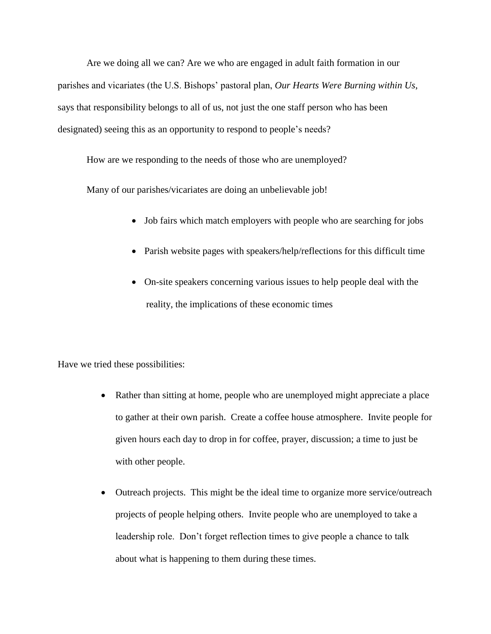Are we doing all we can? Are we who are engaged in adult faith formation in our parishes and vicariates (the U.S. Bishops' pastoral plan, *Our Hearts Were Burning within Us*, says that responsibility belongs to all of us, not just the one staff person who has been designated) seeing this as an opportunity to respond to people's needs?

How are we responding to the needs of those who are unemployed?

Many of our parishes/vicariates are doing an unbelievable job!

- Job fairs which match employers with people who are searching for jobs
- Parish website pages with speakers/help/reflections for this difficult time
- On-site speakers concerning various issues to help people deal with the reality, the implications of these economic times

Have we tried these possibilities:

- Rather than sitting at home, people who are unemployed might appreciate a place to gather at their own parish. Create a coffee house atmosphere. Invite people for given hours each day to drop in for coffee, prayer, discussion; a time to just be with other people.
- Outreach projects. This might be the ideal time to organize more service/outreach projects of people helping others. Invite people who are unemployed to take a leadership role. Don't forget reflection times to give people a chance to talk about what is happening to them during these times.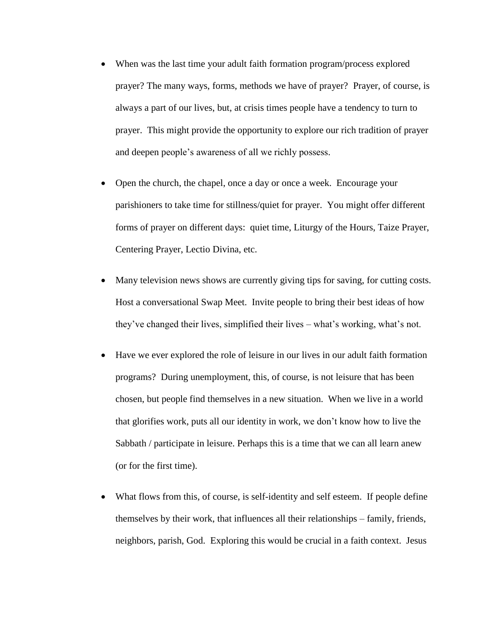- When was the last time your adult faith formation program/process explored prayer? The many ways, forms, methods we have of prayer? Prayer, of course, is always a part of our lives, but, at crisis times people have a tendency to turn to prayer. This might provide the opportunity to explore our rich tradition of prayer and deepen people's awareness of all we richly possess.
- Open the church, the chapel, once a day or once a week. Encourage your parishioners to take time for stillness/quiet for prayer. You might offer different forms of prayer on different days: quiet time, Liturgy of the Hours, Taize Prayer, Centering Prayer, Lectio Divina, etc.
- Many television news shows are currently giving tips for saving, for cutting costs. Host a conversational Swap Meet. Invite people to bring their best ideas of how they've changed their lives, simplified their lives – what's working, what's not.
- Have we ever explored the role of leisure in our lives in our adult faith formation programs? During unemployment, this, of course, is not leisure that has been chosen, but people find themselves in a new situation. When we live in a world that glorifies work, puts all our identity in work, we don't know how to live the Sabbath / participate in leisure. Perhaps this is a time that we can all learn anew (or for the first time).
- What flows from this, of course, is self-identity and self esteem. If people define themselves by their work, that influences all their relationships – family, friends, neighbors, parish, God. Exploring this would be crucial in a faith context. Jesus